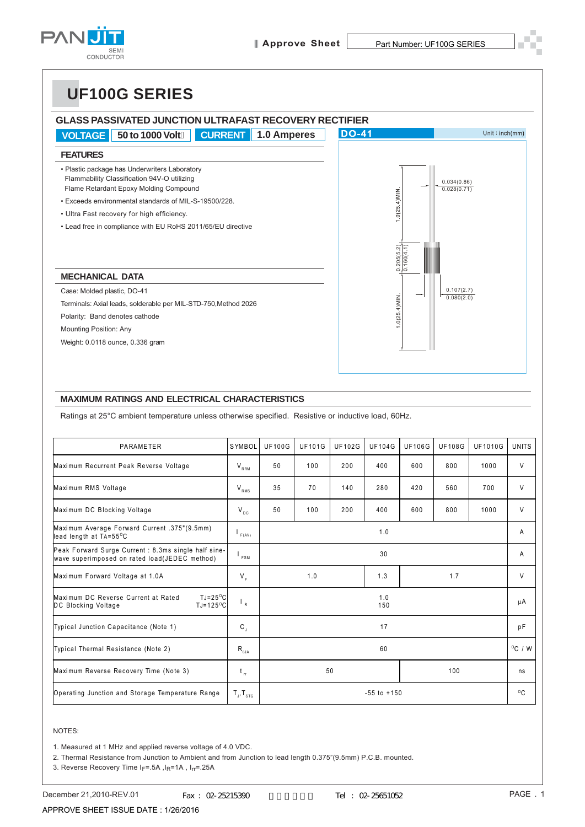

# **UF100G SERIES**

| <b>CURRENT</b><br><b>VOLTAGE</b><br>50 to 1000 Volt<br>1.0 Amperes                                                                                                                                                                           | <b>DO-41</b>                                | Unit:inch(mm) |
|----------------------------------------------------------------------------------------------------------------------------------------------------------------------------------------------------------------------------------------------|---------------------------------------------|---------------|
| <b>FEATURES</b>                                                                                                                                                                                                                              |                                             |               |
| • Plastic package has Underwriters Laboratory<br>Flammability Classification 94V-O utilizing<br>Flame Retardant Epoxy Molding Compound<br>. Exceeds environmental standards of MIL-S-19500/228<br>• Ultra Fast recovery for high efficiency. | 0.034(0.86)<br>0.028(0.71)<br>$0(25.4)$ MIN |               |
| • Lead free in compliance with EU RoHS 2011/65/EU directive                                                                                                                                                                                  | $\frac{0.205(5.2)}{0.160(4.1)}$             |               |
| <b>MECHANICAL DATA</b>                                                                                                                                                                                                                       |                                             |               |
| Case: Molded plastic, DO-41                                                                                                                                                                                                                  | 0.107(2.7)                                  |               |
| Terminals: Axial leads, solderable per MIL-STD-750, Method 2026                                                                                                                                                                              | $.0(25.4)$ MIN<br>0.080(2.0)                |               |
| Polarity: Band denotes cathode                                                                                                                                                                                                               |                                             |               |
| <b>Mounting Position: Any</b>                                                                                                                                                                                                                |                                             |               |
| Weight: 0.0118 ounce, 0.336 gram                                                                                                                                                                                                             |                                             |               |

#### **MAXIMUM RATINGS AND ELECTRICAL CHARACTERISTICS**

Ratings at 25°C ambient temperature unless otherwise specified. Resistive or inductive load, 60Hz.

| PARAMETER                                                                                                     | SYMBOL                     | <b>UF100G</b>   | <b>UF101G</b> | <b>UF102G</b> | <b>UF104G</b> | <b>UF106G</b> | <b>UF108G</b>    | <b>UF1010G</b> | <b>UNITS</b> |
|---------------------------------------------------------------------------------------------------------------|----------------------------|-----------------|---------------|---------------|---------------|---------------|------------------|----------------|--------------|
| Maximum Recurrent Peak Reverse Voltage                                                                        | $V_{RRM}$                  | 50              | 100           | 200           | 400           | 600           | 800              | 1000           | V            |
| Maximum RMS Voltage                                                                                           | $V_{RMS}$                  | 35              | 70            | 140           | 280           | 420           | 560              | 700            | V            |
| Maximum DC Blocking Voltage                                                                                   | $V_{DC}$                   | 50              | 100           | 200           | 400           | 600           | 800              | 1000           | V            |
| Maximum Average Forward Current .375"(9.5mm)<br>lead length at TA=55°C                                        | F(AV)                      | 1.0             |               |               |               | A             |                  |                |              |
| Peak Forward Surge Current : 8.3ms single half sine-<br>wave superimposed on rated load(JEDEC method)         | <sup>I</sup> FSM           | 30              |               |               |               |               | A                |                |              |
| Maximum Forward Voltage at 1.0A                                                                               | $V_{\epsilon}$             |                 | 1.0           |               | 1.3           |               | 1.7              |                | V            |
| Maximum DC Reverse Current at Rated<br>$TJ = 25^{\circ}C$<br>$TJ = 125$ <sup>o</sup> C<br>DC Blocking Voltage | $\mathsf{L}_{\mathsf{R}}$  | 1.0<br>150      |               |               |               | μA            |                  |                |              |
| Typical Junction Capacitance (Note 1)                                                                         | $\mathsf{C}_{\mathsf{J}}$  | 17              |               |               |               |               | рF               |                |              |
| Typical Thermal Resistance (Note 2)                                                                           | $R_{\rm gJA}$              | 60              |               |               |               |               | $^{\circ}$ C / W |                |              |
| Maximum Reverse Recovery Time (Note 3)                                                                        | $t_{\rm r}$                | 50<br>100       |               |               |               | ns            |                  |                |              |
| Operating Junction and Storage Temperature Range                                                              | $T_{J}$ , $T_{\text{str}}$ | $-55$ to $+150$ |               |               |               |               | $^{\circ}$ C     |                |              |

#### NOTES:

1. Measured at 1 MHz and applied reverse voltage of 4.0 VDC.

2. Thermal Resistance from Junction to Ambient and from Junction to lead length 0.375"(9.5mm) P.C.B. mounted.

3. Reverse Recovery Time IF=.5A, IR=1A, IR=.25A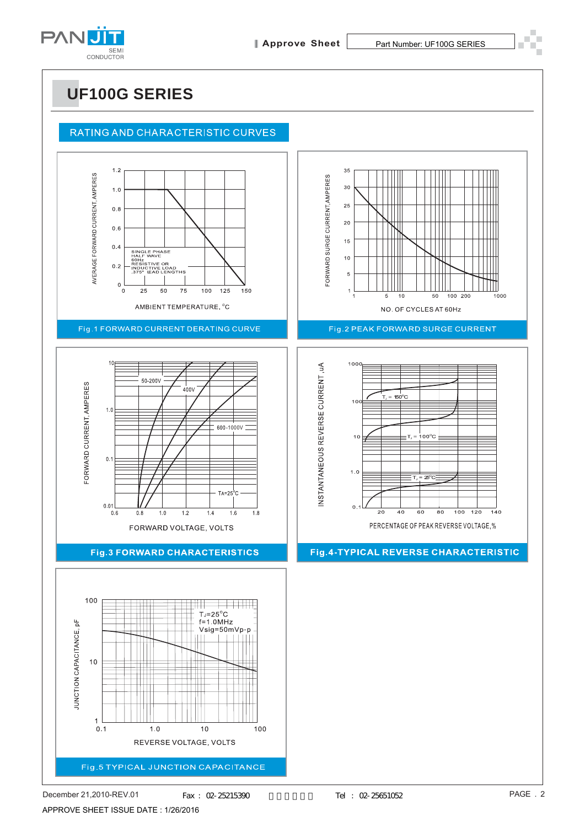

## **UF100G SERIES**

### RATING AND CHARACTERISTIC CURVES